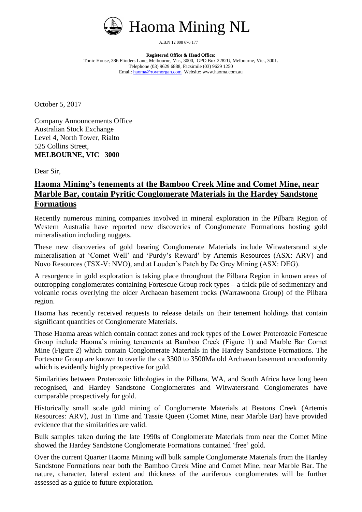

A.B.N 12 008 676 177

**Registered Office & Head Office:** Tonic House, 386 Flinders Lane, Melbourne, Vic., 3000, GPO Box 2282U, Melbourne, Vic., 3001. Telephone (03) 9629 6888, Facsimile (03) 9629 1250 Email[: haoma@roymorgan.com](mailto:haoma@roymorgan.com) Website: www.haoma.com.au

October 5, 2017

Company Announcements Office Australian Stock Exchange Level 4, North Tower, Rialto 525 Collins Street, **MELBOURNE, VIC 3000**

Dear Sir,

## **Haoma Mining's tenements at the Bamboo Creek Mine and Comet Mine, near Marble Bar, contain Pyritic Conglomerate Materials in the Hardey Sandstone Formations**

Recently numerous mining companies involved in mineral exploration in the Pilbara Region of Western Australia have reported new discoveries of Conglomerate Formations hosting gold mineralisation including nuggets.

These new discoveries of gold bearing Conglomerate Materials include Witwatersrand style mineralisation at 'Comet Well' and 'Purdy's Reward' by Artemis Resources (ASX: ARV) and Novo Resources (TSX-V: NVO), and at Louden's Patch by De Grey Mining (ASX: DEG).

A resurgence in gold exploration is taking place throughout the Pilbara Region in known areas of outcropping conglomerates containing Fortescue Group rock types – a thick pile of sedimentary and volcanic rocks overlying the older Archaean basement rocks (Warrawoona Group) of the Pilbara region.

Haoma has recently received requests to release details on their tenement holdings that contain significant quantities of Conglomerate Materials.

Those Haoma areas which contain contact zones and rock types of the Lower Proterozoic Fortescue Group include Haoma's mining tenements at Bamboo Creek (Figure 1) and Marble Bar Comet Mine (Figure 2) which contain Conglomerate Materials in the Hardey Sandstone Formations. The Fortescue Group are known to overlie the ca 3300 to 3500Ma old Archaean basement unconformity which is evidently highly prospective for gold.

Similarities between Proterozoic lithologies in the Pilbara, WA, and South Africa have long been recognised, and Hardey Sandstone Conglomerates and Witwatersrand Conglomerates have comparable prospectively for gold.

Historically small scale gold mining of Conglomerate Materials at Beatons Creek (Artemis Resources: ARV), Just In Time and Tassie Queen (Comet Mine, near Marble Bar) have provided evidence that the similarities are valid.

Bulk samples taken during the late 1990s of Conglomerate Materials from near the Comet Mine showed the Hardey Sandstone Conglomerate Formations contained 'free' gold.

Over the current Quarter Haoma Mining will bulk sample Conglomerate Materials from the Hardey Sandstone Formations near both the Bamboo Creek Mine and Comet Mine, near Marble Bar. The nature, character, lateral extent and thickness of the auriferous conglomerates will be further assessed as a guide to future exploration.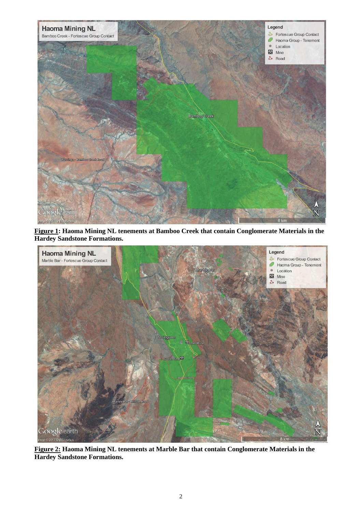

**Figure 1: Haoma Mining NL tenements at Bamboo Creek that contain Conglomerate Materials in the Hardey Sandstone Formations.**



**Figure 2: Haoma Mining NL tenements at Marble Bar that contain Conglomerate Materials in the Hardey Sandstone Formations.**